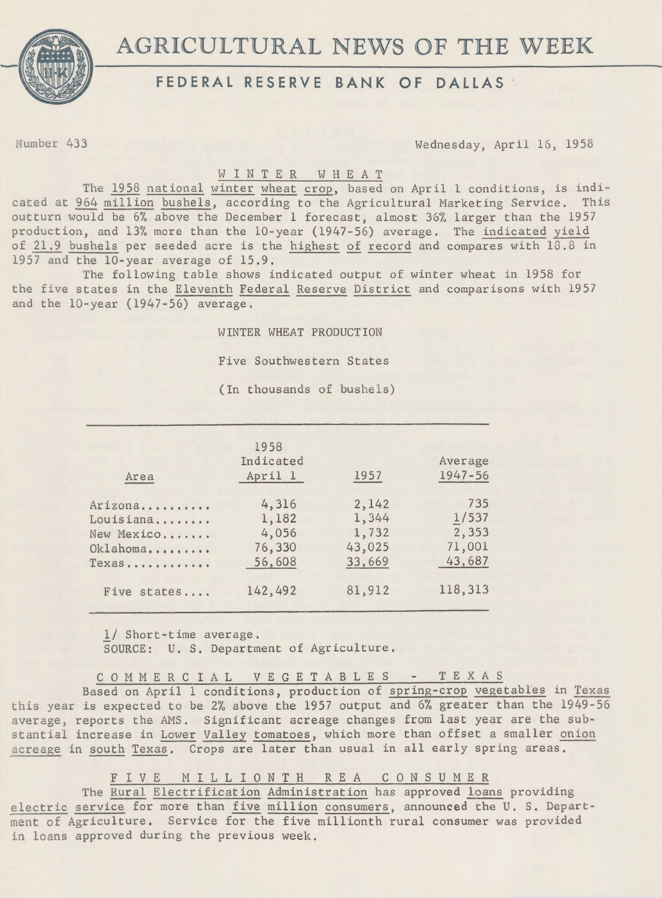

## FEDERAL RESERVE BANK OF DALLAS

Number 433 Wednesday, April 16, 1958

## W I N T E R W HE AT

The 1958 national winter wheat crop, based on April 1 conditions, is indicated at 964 million bushels, according to the Agricultural Marketing Service. This outturn would be 6% above the December 1 forecast, almost 36% larger than the 1957 production, and 13% more than the 10-year (1947-56) average. The indicated yield of 21.9 bushels per seeded acre is the highest of record and compares with 18.8 in 1957 and the 10-year average of 15.9.

The following table shows indicated output of winter wheat in 1958 for the five states in the Eleventh Federal Reserve District and comparisons with 1957 and the 10-year (1947-56) average.

WINTER WHEAT PRODUCTION

Five Southwestern States

(In thousands of bushels)

|                                 | 1958      |        |             |
|---------------------------------|-----------|--------|-------------|
|                                 | Indicated |        | Average     |
| Area                            | April 1   | 1957   | $1947 - 56$ |
| Arizona                         | 4,316     | 2,142  | 735         |
| Louisiana                       | 1,182     | 1,344  | 1/537       |
| New Mexico                      | 4,056     | 1,732  | 2,353       |
| Oklahoma                        | 76,330    | 43,025 | 71,001      |
| $Texas \dots \dots \dots \dots$ | 56,608    | 33,669 | 43,687      |
| Five states                     | 142,492   | 81,912 | 118,313     |

1/ Short-time average.

SOURCE: U. S, Department of Agriculture.

COMMERCIAL V E G E T A B L E S T E X A S Based on April 1 conditions, production of spring-crop vegetables in Texas this year is expected to be 2% above the 1957 output and 6% greater than the 1949-56 average, reports the AMS. Significant acreage changes from last year are the substantial increase in Lower Valley tomatoes, which more than offset a smaller onion acreage in south Texas. Crops are later than usual in all early spring areas.

FIVE MILLIONTH REA CONSUMER

The Rural Electrification Administration has approved loans providing electric service for more than five million consumers, announced the U. S. Department of Agriculture. Service for the five millionth rural consumer was provided in loans approved during the previous week.